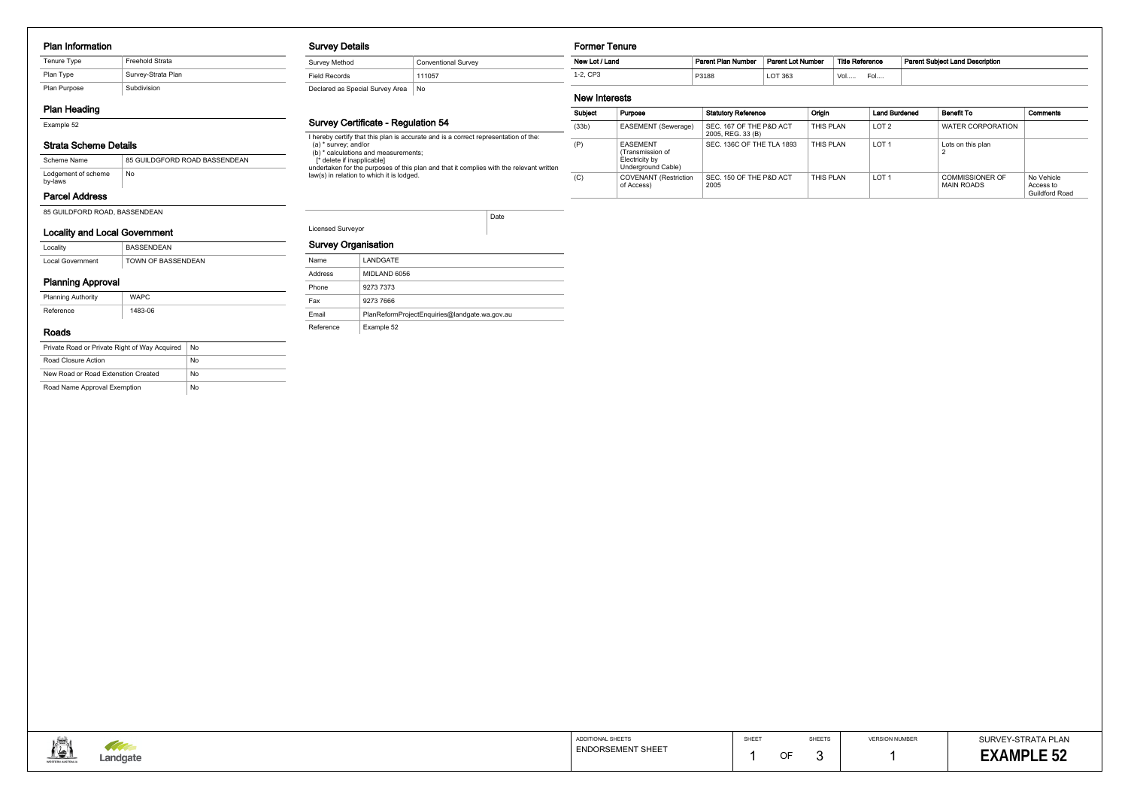#### Plan Information

| Tenure Type  | <b>Freehold Strata</b> |
|--------------|------------------------|
| Plan Type    | Survey-Strata Plan     |
| Plan Purpose | Subdivision            |

# Plan Heading

Example 52

# Strata Scheme Details

### Parcel Address

85 GUILDFORD ROAD, BASSENDEAN

| Scheme Name                    | 85 GUILDGFORD ROAD BASSENDEAN |
|--------------------------------|-------------------------------|
| Lodgement of scheme<br>by-laws | No                            |

### Locality and Local Government

| Locality         | <b>BASSENDEAN</b>  |
|------------------|--------------------|
| Local Government | TOWN OF BASSENDEAN |

# Planning Approval

| <b>Planning Authority</b> | <b>WAPC</b> |
|---------------------------|-------------|
| Reference                 | 1483-06     |

#### Roads

| Private Road or Private Right of Way Acquired | No |
|-----------------------------------------------|----|
| Road Closure Action                           | No |
| New Road or Road Extenstion Created           | No |
| Road Name Approval Exemption                  | No |

#### Survey Details

| Survey Method                   | <b>Conventional Survey</b> |
|---------------------------------|----------------------------|
| <b>Field Records</b>            | 111057                     |
| Declared as Special Survey Area | No                         |

### Survey Certificate - Regulation 54

I hereby certify that this plan is accurate and is a correct representation of the: (a) \* survey; and/or (b) \* calculations and measurements; [\* delete if inapplicable]

undertaken for the purposes of this plan and that it complies with the relevant written law(s) in relation to which it is lodged.

Licensed Surveyor

Date

#### Survey Organisation

| Name      | LANDGATE                                      |
|-----------|-----------------------------------------------|
| Address   | MIDLAND 6056                                  |
| Phone     | 9273 7373                                     |
| Fax       | 9273 7666                                     |
| Email     | PlanReformProjectEnguiries@landgate.wa.gov.au |
| Reference | Example 52                                    |



#### Former Tenure

#### New Interests

| New Lot / Land | Title Reference<br><b>Parent Lot Number</b><br><b>Parent Plan Number</b> |         | t Subiect Land Description<br>Parent |  |
|----------------|--------------------------------------------------------------------------|---------|--------------------------------------|--|
| . CP3          | P3188<br>.                                                               | LOT 363 | Vol….<br>ั∪เ…                        |  |

| Subject | Purpose                                                                     | <b>Statutory Reference</b>                   | Oriain    | <b>Land Burdened</b> | Benefit To                                  | <b>Comments</b>                                  |
|---------|-----------------------------------------------------------------------------|----------------------------------------------|-----------|----------------------|---------------------------------------------|--------------------------------------------------|
| (33b)   | EASEMENT (Sewerage)                                                         | SEC. 167 OF THE P&D ACT<br>2005, REG. 33 (B) | THIS PLAN | LOT <sub>2</sub>     | WATER CORPORATION                           |                                                  |
| (P)     | <b>EASEMENT</b><br>(Transmission of<br>Electricity by<br>Underground Cable) | SEC. 136C OF THE TLA 1893                    | THIS PLAN | LOT <sub>1</sub>     | Lots on this plan                           |                                                  |
| (C)     | <b>COVENANT</b> (Restriction<br>of Access)                                  | SEC. 150 OF THE P&D ACT<br>2005              | THIS PLAN | LOT <sub>1</sub>     | <b>COMMISSIONER OF</b><br><b>MAIN ROADS</b> | No Vehicle<br>Access to<br><b>Guildford Road</b> |

|                   | - -                                                    | <b>ADDITIONAL SHEETS</b> | SHEET |              | SHEET |
|-------------------|--------------------------------------------------------|--------------------------|-------|--------------|-------|
| ستحالك<br>STRALIA | <b>Contract Contract Contract Contract</b><br>Landgate | <b>ENDORSEMENT SHEET</b> |       | $\cap$<br>◡⊦ |       |

SHEETS

SURVEY-STRATA PLAN 52 **EXAMPLE 52**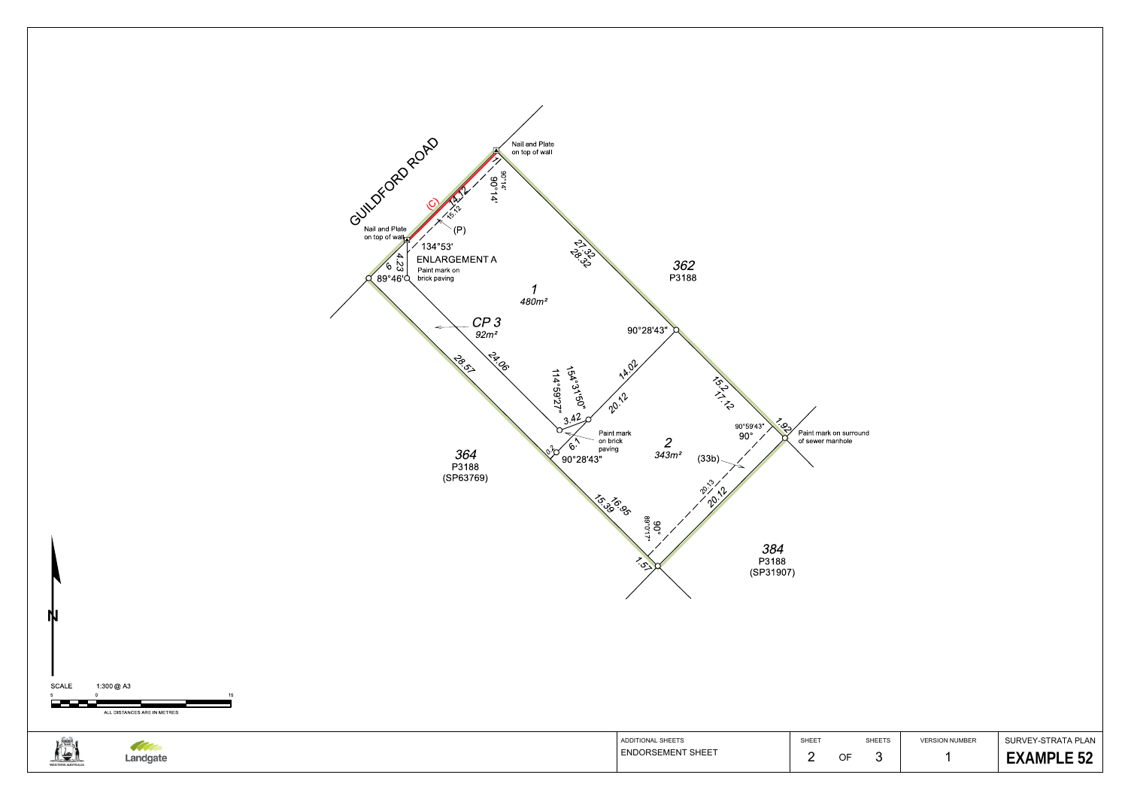

 SHEETS3

1